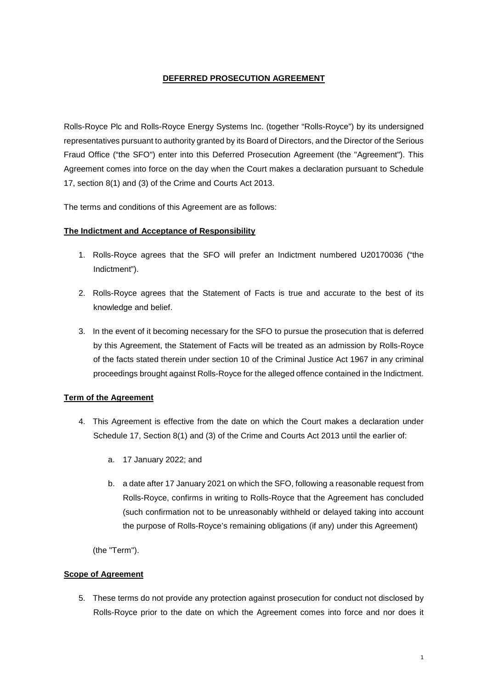# **DEFERRED PROSECUTION AGREEMENT**

Rolls-Royce Plc and Rolls-Royce Energy Systems Inc. (together "Rolls-Royce") by its undersigned representatives pursuant to authority granted by its Board of Directors, and the Director of the Serious Fraud Office ("the SFO") enter into this Deferred Prosecution Agreement (the "Agreement"). This Agreement comes into force on the day when the Court makes a declaration pursuant to Schedule 17, section 8(1) and (3) of the Crime and Courts Act 2013.

The terms and conditions of this Agreement are as follows:

# **The Indictment and Acceptance of Responsibility**

- 1. Rolls-Royce agrees that the SFO will prefer an Indictment numbered U20170036 ("the Indictment").
- 2. Rolls-Royce agrees that the Statement of Facts is true and accurate to the best of its knowledge and belief.
- 3. In the event of it becoming necessary for the SFO to pursue the prosecution that is deferred by this Agreement, the Statement of Facts will be treated as an admission by Rolls-Royce of the facts stated therein under section 10 of the Criminal Justice Act 1967 in any criminal proceedings brought against Rolls-Royce for the alleged offence contained in the Indictment.

# **Term of the Agreement**

- 4. This Agreement is effective from the date on which the Court makes a declaration under Schedule 17, Section 8(1) and (3) of the Crime and Courts Act 2013 until the earlier of:
	- a. 17 January 2022; and
	- b. a date after 17 January 2021 on which the SFO, following a reasonable request from Rolls-Royce, confirms in writing to Rolls-Royce that the Agreement has concluded (such confirmation not to be unreasonably withheld or delayed taking into account the purpose of Rolls-Royce's remaining obligations (if any) under this Agreement)

(the "Term").

## **Scope of Agreement**

5. These terms do not provide any protection against prosecution for conduct not disclosed by Rolls-Royce prior to the date on which the Agreement comes into force and nor does it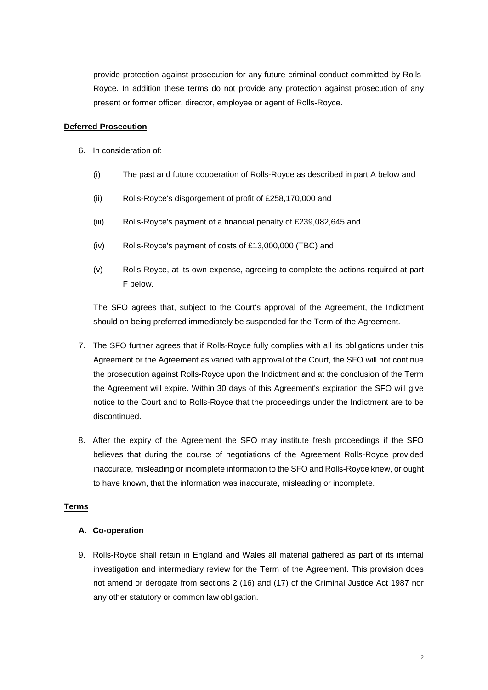provide protection against prosecution for any future criminal conduct committed by Rolls-Royce. In addition these terms do not provide any protection against prosecution of any present or former officer, director, employee or agent of Rolls-Royce.

## **Deferred Prosecution**

- 6. In consideration of:
	- (i) The past and future cooperation of Rolls-Royce as described in part A below and
	- (ii) Rolls-Royce's disgorgement of profit of £258,170,000 and
	- (iii) Rolls-Royce's payment of a financial penalty of £239,082,645 and
	- (iv) Rolls-Royce's payment of costs of £13,000,000 (TBC) and
	- (v) Rolls-Royce, at its own expense, agreeing to complete the actions required at part F below.

The SFO agrees that, subject to the Court's approval of the Agreement, the Indictment should on being preferred immediately be suspended for the Term of the Agreement.

- 7. The SFO further agrees that if Rolls-Royce fully complies with all its obligations under this Agreement or the Agreement as varied with approval of the Court, the SFO will not continue the prosecution against Rolls-Royce upon the Indictment and at the conclusion of the Term the Agreement will expire. Within 30 days of this Agreement's expiration the SFO will give notice to the Court and to Rolls-Royce that the proceedings under the Indictment are to be discontinued.
- 8. After the expiry of the Agreement the SFO may institute fresh proceedings if the SFO believes that during the course of negotiations of the Agreement Rolls-Royce provided inaccurate, misleading or incomplete information to the SFO and Rolls-Royce knew, or ought to have known, that the information was inaccurate, misleading or incomplete.

#### **Terms**

## **A. Co-operation**

9. Rolls-Royce shall retain in England and Wales all material gathered as part of its internal investigation and intermediary review for the Term of the Agreement. This provision does not amend or derogate from sections 2 (16) and (17) of the Criminal Justice Act 1987 nor any other statutory or common law obligation.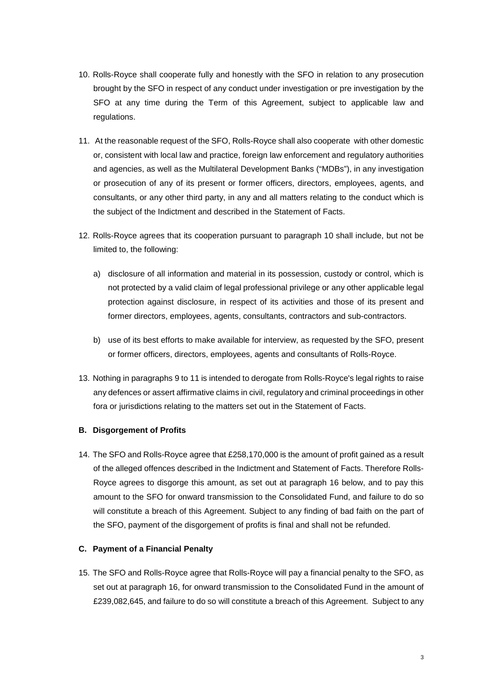- 10. Rolls-Royce shall cooperate fully and honestly with the SFO in relation to any prosecution brought by the SFO in respect of any conduct under investigation or pre investigation by the SFO at any time during the Term of this Agreement, subject to applicable law and regulations.
- 11. At the reasonable request of the SFO, Rolls-Royce shall also cooperate with other domestic or, consistent with local law and practice, foreign law enforcement and regulatory authorities and agencies, as well as the Multilateral Development Banks ("MDBs"), in any investigation or prosecution of any of its present or former officers, directors, employees, agents, and consultants, or any other third party, in any and all matters relating to the conduct which is the subject of the Indictment and described in the Statement of Facts.
- 12. Rolls-Royce agrees that its cooperation pursuant to paragraph 10 shall include, but not be limited to, the following:
	- a) disclosure of all information and material in its possession, custody or control, which is not protected by a valid claim of legal professional privilege or any other applicable legal protection against disclosure, in respect of its activities and those of its present and former directors, employees, agents, consultants, contractors and sub-contractors.
	- b) use of its best efforts to make available for interview, as requested by the SFO, present or former officers, directors, employees, agents and consultants of Rolls-Royce.
- 13. Nothing in paragraphs 9 to 11 is intended to derogate from Rolls-Royce's legal rights to raise any defences or assert affirmative claims in civil, regulatory and criminal proceedings in other fora or jurisdictions relating to the matters set out in the Statement of Facts.

## **B. Disgorgement of Profits**

14. The SFO and Rolls-Royce agree that £258,170,000 is the amount of profit gained as a result of the alleged offences described in the Indictment and Statement of Facts. Therefore Rolls-Royce agrees to disgorge this amount, as set out at paragraph 16 below, and to pay this amount to the SFO for onward transmission to the Consolidated Fund, and failure to do so will constitute a breach of this Agreement. Subject to any finding of bad faith on the part of the SFO, payment of the disgorgement of profits is final and shall not be refunded.

## **C. Payment of a Financial Penalty**

15. The SFO and Rolls-Royce agree that Rolls-Royce will pay a financial penalty to the SFO, as set out at paragraph 16, for onward transmission to the Consolidated Fund in the amount of £239,082,645, and failure to do so will constitute a breach of this Agreement. Subject to any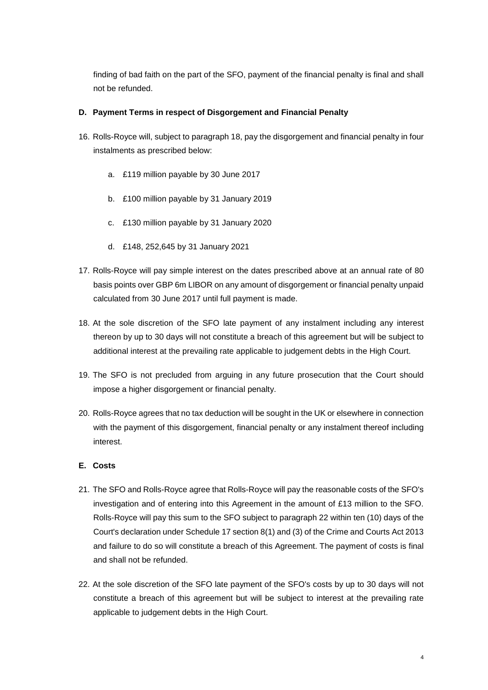finding of bad faith on the part of the SFO, payment of the financial penalty is final and shall not be refunded.

## **D. Payment Terms in respect of Disgorgement and Financial Penalty**

- 16. Rolls-Royce will, subject to paragraph 18, pay the disgorgement and financial penalty in four instalments as prescribed below:
	- a. £119 million payable by 30 June 2017
	- b. £100 million payable by 31 January 2019
	- c. £130 million payable by 31 January 2020
	- d. £148, 252,645 by 31 January 2021
- 17. Rolls-Royce will pay simple interest on the dates prescribed above at an annual rate of 80 basis points over GBP 6m LIBOR on any amount of disgorgement or financial penalty unpaid calculated from 30 June 2017 until full payment is made.
- 18. At the sole discretion of the SFO late payment of any instalment including any interest thereon by up to 30 days will not constitute a breach of this agreement but will be subject to additional interest at the prevailing rate applicable to judgement debts in the High Court.
- 19. The SFO is not precluded from arguing in any future prosecution that the Court should impose a higher disgorgement or financial penalty.
- 20. Rolls-Royce agrees that no tax deduction will be sought in the UK or elsewhere in connection with the payment of this disgorgement, financial penalty or any instalment thereof including interest.

## **E. Costs**

- 21. The SFO and Rolls-Royce agree that Rolls-Royce will pay the reasonable costs of the SFO's investigation and of entering into this Agreement in the amount of £13 million to the SFO. Rolls-Royce will pay this sum to the SFO subject to paragraph 22 within ten (10) days of the Court's declaration under Schedule 17 section 8(1) and (3) of the Crime and Courts Act 2013 and failure to do so will constitute a breach of this Agreement. The payment of costs is final and shall not be refunded.
- 22. At the sole discretion of the SFO late payment of the SFO's costs by up to 30 days will not constitute a breach of this agreement but will be subject to interest at the prevailing rate applicable to judgement debts in the High Court.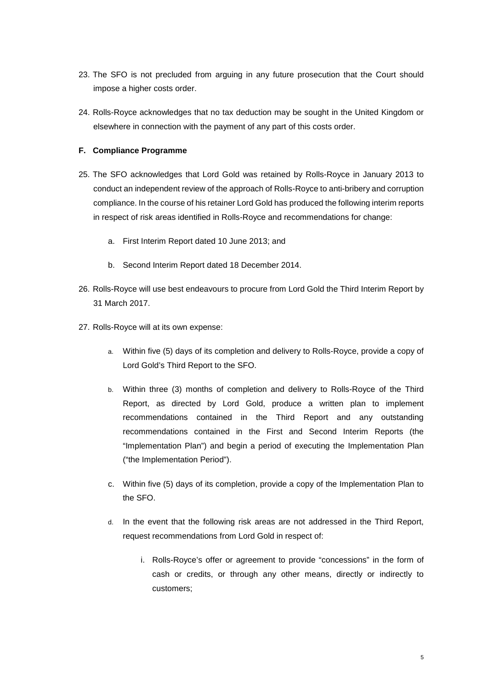- 23. The SFO is not precluded from arguing in any future prosecution that the Court should impose a higher costs order.
- 24. Rolls-Royce acknowledges that no tax deduction may be sought in the United Kingdom or elsewhere in connection with the payment of any part of this costs order.

# **F. Compliance Programme**

- 25. The SFO acknowledges that Lord Gold was retained by Rolls-Royce in January 2013 to conduct an independent review of the approach of Rolls-Royce to anti-bribery and corruption compliance. In the course of his retainer Lord Gold has produced the following interim reports in respect of risk areas identified in Rolls-Royce and recommendations for change:
	- a. First Interim Report dated 10 June 2013; and
	- b. Second Interim Report dated 18 December 2014.
- 26. Rolls-Royce will use best endeavours to procure from Lord Gold the Third Interim Report by 31 March 2017.
- 27. Rolls-Royce will at its own expense:
	- a. Within five (5) days of its completion and delivery to Rolls-Royce, provide a copy of Lord Gold's Third Report to the SFO.
	- b. Within three (3) months of completion and delivery to Rolls-Royce of the Third Report, as directed by Lord Gold, produce a written plan to implement recommendations contained in the Third Report and any outstanding recommendations contained in the First and Second Interim Reports (the "Implementation Plan") and begin a period of executing the Implementation Plan ("the Implementation Period").
	- c. Within five (5) days of its completion, provide a copy of the Implementation Plan to the SFO.
	- d. In the event that the following risk areas are not addressed in the Third Report, request recommendations from Lord Gold in respect of:
		- i. Rolls-Royce's offer or agreement to provide "concessions" in the form of cash or credits, or through any other means, directly or indirectly to customers;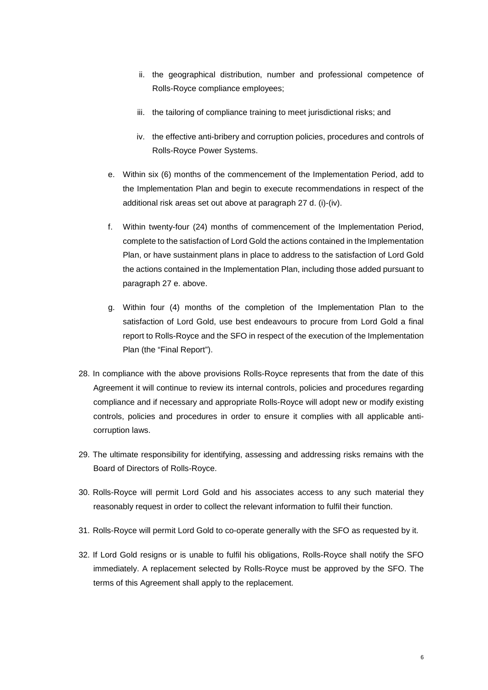- ii. the geographical distribution, number and professional competence of Rolls-Royce compliance employees;
- iii. the tailoring of compliance training to meet jurisdictional risks; and
- iv. the effective anti-bribery and corruption policies, procedures and controls of Rolls-Royce Power Systems.
- e. Within six (6) months of the commencement of the Implementation Period, add to the Implementation Plan and begin to execute recommendations in respect of the additional risk areas set out above at paragraph 27 d. (i)-(iv).
- f. Within twenty-four (24) months of commencement of the Implementation Period, complete to the satisfaction of Lord Gold the actions contained in the Implementation Plan, or have sustainment plans in place to address to the satisfaction of Lord Gold the actions contained in the Implementation Plan, including those added pursuant to paragraph 27 e. above.
- g. Within four (4) months of the completion of the Implementation Plan to the satisfaction of Lord Gold, use best endeavours to procure from Lord Gold a final report to Rolls-Royce and the SFO in respect of the execution of the Implementation Plan (the "Final Report").
- 28. In compliance with the above provisions Rolls-Royce represents that from the date of this Agreement it will continue to review its internal controls, policies and procedures regarding compliance and if necessary and appropriate Rolls-Royce will adopt new or modify existing controls, policies and procedures in order to ensure it complies with all applicable anticorruption laws.
- 29. The ultimate responsibility for identifying, assessing and addressing risks remains with the Board of Directors of Rolls-Royce.
- 30. Rolls-Royce will permit Lord Gold and his associates access to any such material they reasonably request in order to collect the relevant information to fulfil their function.
- 31. Rolls-Royce will permit Lord Gold to co-operate generally with the SFO as requested by it.
- 32. If Lord Gold resigns or is unable to fulfil his obligations, Rolls-Royce shall notify the SFO immediately. A replacement selected by Rolls-Royce must be approved by the SFO. The terms of this Agreement shall apply to the replacement.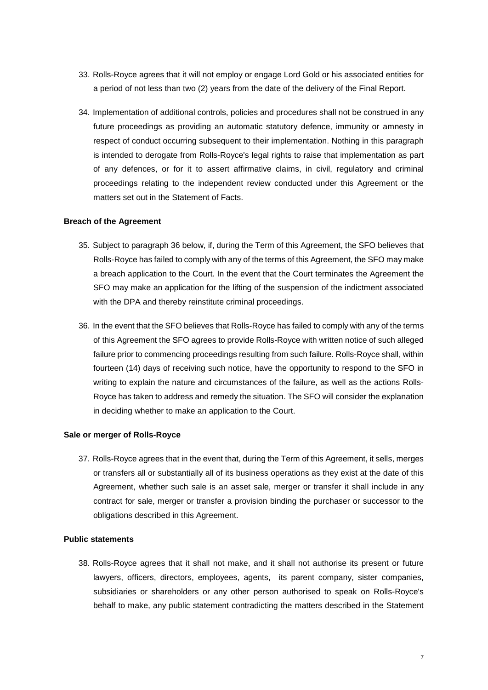- 33. Rolls-Royce agrees that it will not employ or engage Lord Gold or his associated entities for a period of not less than two (2) years from the date of the delivery of the Final Report.
- 34. Implementation of additional controls, policies and procedures shall not be construed in any future proceedings as providing an automatic statutory defence, immunity or amnesty in respect of conduct occurring subsequent to their implementation. Nothing in this paragraph is intended to derogate from Rolls-Royce's legal rights to raise that implementation as part of any defences, or for it to assert affirmative claims, in civil, regulatory and criminal proceedings relating to the independent review conducted under this Agreement or the matters set out in the Statement of Facts.

## **Breach of the Agreement**

- 35. Subject to paragraph 36 below, if, during the Term of this Agreement, the SFO believes that Rolls-Royce has failed to comply with any of the terms of this Agreement, the SFO may make a breach application to the Court. In the event that the Court terminates the Agreement the SFO may make an application for the lifting of the suspension of the indictment associated with the DPA and thereby reinstitute criminal proceedings.
- 36. In the event that the SFO believes that Rolls-Royce has failed to comply with any of the terms of this Agreement the SFO agrees to provide Rolls-Royce with written notice of such alleged failure prior to commencing proceedings resulting from such failure. Rolls-Royce shall, within fourteen (14) days of receiving such notice, have the opportunity to respond to the SFO in writing to explain the nature and circumstances of the failure, as well as the actions Rolls-Royce has taken to address and remedy the situation. The SFO will consider the explanation in deciding whether to make an application to the Court.

## **Sale or merger of Rolls-Royce**

37. Rolls-Royce agrees that in the event that, during the Term of this Agreement, it sells, merges or transfers all or substantially all of its business operations as they exist at the date of this Agreement, whether such sale is an asset sale, merger or transfer it shall include in any contract for sale, merger or transfer a provision binding the purchaser or successor to the obligations described in this Agreement.

## **Public statements**

38. Rolls-Royce agrees that it shall not make, and it shall not authorise its present or future lawyers, officers, directors, employees, agents, its parent company, sister companies, subsidiaries or shareholders or any other person authorised to speak on Rolls-Royce's behalf to make, any public statement contradicting the matters described in the Statement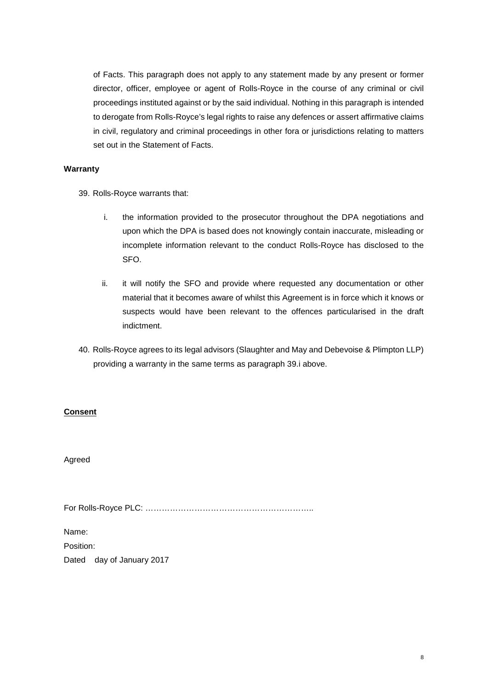of Facts. This paragraph does not apply to any statement made by any present or former director, officer, employee or agent of Rolls-Royce in the course of any criminal or civil proceedings instituted against or by the said individual. Nothing in this paragraph is intended to derogate from Rolls-Royce's legal rights to raise any defences or assert affirmative claims in civil, regulatory and criminal proceedings in other fora or jurisdictions relating to matters set out in the Statement of Facts.

## **Warranty**

39. Rolls-Royce warrants that:

- i. the information provided to the prosecutor throughout the DPA negotiations and upon which the DPA is based does not knowingly contain inaccurate, misleading or incomplete information relevant to the conduct Rolls-Royce has disclosed to the SFO.
- ii. it will notify the SFO and provide where requested any documentation or other material that it becomes aware of whilst this Agreement is in force which it knows or suspects would have been relevant to the offences particularised in the draft indictment.
- 40. Rolls-Royce agrees to its legal advisors (Slaughter and May and Debevoise & Plimpton LLP) providing a warranty in the same terms as paragraph 39.i above.

## **Consent**

Agreed

For Rolls-Royce PLC: ……………………………………………………..

Name: Position: Dated day of January 2017